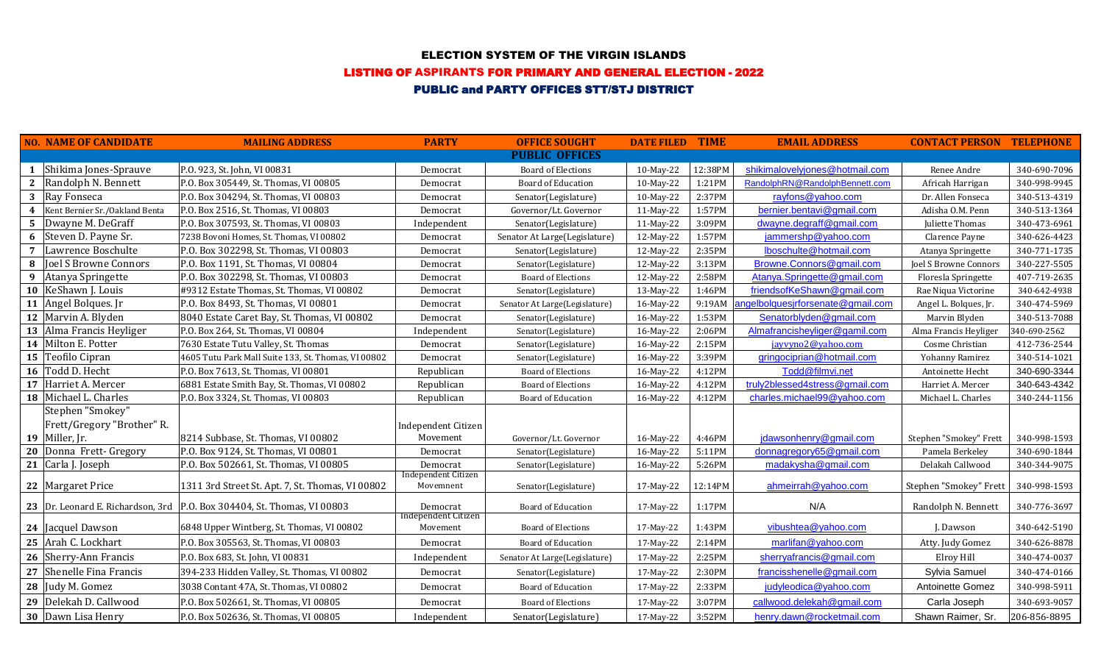### ELECTION SYSTEM OF THE VIRGIN ISLANDS

#### LISTING OF ASPIRANTS FOR PRIMARY AND GENERAL ELECTION - 2022

### PUBLIC and PARTY OFFICES STT/STJ DISTRICT

|                | <b>NO. NAME OF CANDIDATE</b>   | <b>MAILING ADDRESS</b>                                                    | <b>PARTY</b>                           | <b>OFFICE SOUGHT</b>          | <b>DATE FILED TIME</b> |         | <b>EMAIL ADDRESS</b>              | <b>CONTACT PERSON TELEPHONE</b> |              |
|----------------|--------------------------------|---------------------------------------------------------------------------|----------------------------------------|-------------------------------|------------------------|---------|-----------------------------------|---------------------------------|--------------|
|                |                                |                                                                           |                                        | <b>PUBLIC OFFICES</b>         |                        |         |                                   |                                 |              |
| 1              | Shikima Jones-Sprauve          | P.O. 923, St. John, VI 00831                                              | Democrat                               | <b>Board of Elections</b>     | 10-May-22              | 12:38PM | shikimalovelyjones@hotmail.com    | Renee Andre                     | 340-690-7096 |
| 2              | Randolph N. Bennett            | P.O. Box 305449, St. Thomas, VI 00805                                     | Democrat                               | <b>Board of Education</b>     | 10-May-22              | 1:21PM  | RandolphRN@RandolphBennett.com    | Africah Harrigan                | 340-998-9945 |
| 3              | Ray Fonseca                    | P.O. Box 304294, St. Thomas, VI 00803                                     | Democrat                               | Senator(Legislature)          | 10-May-22              | 2:37PM  | rayfons@yahoo.com                 | Dr. Allen Fonseca               | 340-513-4319 |
| 4              | Kent Bernier Sr./Oakland Benta | P.O. Box 2516, St. Thomas, VI 00803                                       | Democrat                               | Governor/Lt. Governor         | 11-May-22              | 1:57PM  | bernier.bentavi@gmail.com         | Adisha O.M. Penn                | 340-513-1364 |
| 5              | Dwayne M. DeGraff              | P.O. Box 307593, St. Thomas, VI 00803                                     | Independent                            | Senator(Legislature)          | 11-May-22              | 3:09PM  | dwayne.degraff@gmail.com          | Juliette Thomas                 | 340-473-6961 |
| 6              | Steven D. Payne Sr.            | 7238 Bovoni Homes, St. Thomas, VI 00802                                   | Democrat                               | Senator At Large(Legislature) | 12-May-22              | 1:57PM  | jammershp@yahoo.com               | Clarence Payne                  | 340-626-4423 |
| $\overline{7}$ | Lawrence Boschulte             | P.O. Box 302298, St. Thomas, VI 00803                                     | Democrat                               | Senator(Legislature)          | 12-May-22              | 2:35PM  | lboschulte@hotmail.com            | Atanya Springette               | 340-771-1735 |
| 8              | Joel S Browne Connors          | P.O. Box 1191, St. Thomas, VI 00804                                       | Democrat                               | Senator(Legislature)          | 12-May-22              | 3:13PM  | Browne.Connors@gmail.com          | Joel S Browne Connors           | 340-227-5505 |
| 9              | Atanya Springette              | P.O. Box 302298, St. Thomas, VI 00803                                     | Democrat                               | <b>Board of Elections</b>     | 12-May-22              | 2:58PM  | Atanya.Springette@gmail.com       | Floresla Springette             | 407-719-2635 |
|                | 10   KeShawn J. Louis          | #9312 Estate Thomas, St. Thomas, VI 00802                                 | Democrat                               | Senator(Legislature)          | 13-May-22              | 1:46PM  | friendsofKeShawn@gmail.com        | Rae Niqua Victorine             | 340-642-4938 |
|                | 11 Angel Bolques. Jr           | P.O. Box 8493, St. Thomas, VI 00801                                       | Democrat                               | Senator At Large(Legislature) | 16-May-22              | 9:19AM  | angelbolquesjrforsenate@gmail.com | Angel L. Bolques, Jr.           | 340-474-5969 |
|                | 12 Marvin A. Blyden            | 8040 Estate Caret Bay, St. Thomas, VI 00802                               | Democrat                               | Senator(Legislature)          | 16-May-22              | 1:53PM  | Senatorblyden@gmail.com           | Marvin Blyden                   | 340-513-7088 |
|                | 13 Alma Francis Heyliger       | P.O. Box 264, St. Thomas, VI 00804                                        | Independent                            | Senator(Legislature)          | 16-May-22              | 2:06PM  | Almafrancisheyliger@gamil.com     | Alma Francis Heyliger           | 340-690-2562 |
|                | 14 Milton E. Potter            | 7630 Estate Tutu Valley, St. Thomas                                       | Democrat                               | Senator(Legislature)          | 16-May-22              | 2:15PM  | jayyyno2@yahoo.com                | Cosme Christian                 | 412-736-2544 |
|                | 15 Teofilo Cipran              | 4605 Tutu Park Mall Suite 133, St. Thomas, VI 00802                       | Democrat                               | Senator(Legislature)          | 16-May-22              | 3:39PM  | gringociprian@hotmail.com         | Yohanny Ramirez                 | 340-514-1021 |
|                | 16 Todd D. Hecht               | P.O. Box 7613, St. Thomas, VI 00801                                       | Republican                             | <b>Board of Elections</b>     | 16-May-22              | 4:12PM  | Todd@filmvi.net                   | Antoinette Hecht                | 340-690-3344 |
|                | 17 Harriet A. Mercer           | 6881 Estate Smith Bay, St. Thomas, VI 00802                               | Republican                             | <b>Board of Elections</b>     | 16-May-22              | 4:12PM  | truly2blessed4stress@gmail.com    | Harriet A. Mercer               | 340-643-4342 |
|                | 18 Michael L. Charles          | P.O. Box 3324, St. Thomas, VI 00803                                       | Republican                             | <b>Board of Education</b>     | 16-May-22              | 4:12PM  | charles.michael99@yahoo.com       | Michael L. Charles              | 340-244-1156 |
|                | Stephen "Smokey"               |                                                                           |                                        |                               |                        |         |                                   |                                 |              |
|                | Frett/Gregory "Brother" R.     |                                                                           | <b>Independent Citizen</b>             |                               |                        |         |                                   |                                 |              |
|                | 19 Miller, Jr.                 | 8214 Subbase, St. Thomas, VI 00802                                        | Movement                               | Governor/Lt. Governor         | 16-May-22              | 4:46PM  | jdawsonhenry@gmail.com            | Stephen "Smokey" Frett          | 340-998-1593 |
|                | 20 Donna Frett- Gregory        | P.O. Box 9124, St. Thomas, VI 00801                                       | Democrat                               | Senator(Legislature)          | 16-May-22              | 5:11PM  | donnagregory65@gmail.com          | Pamela Berkeley                 | 340-690-1844 |
|                | 21 Carla J. Joseph             | P.O. Box 502661, St. Thomas, VI 00805                                     | Democrat                               | Senator(Legislature)          | 16-May-22              | 5:26PM  | madakysha@gmail.com               | Delakah Callwood                | 340-344-9075 |
|                | 22 Margaret Price              | 1311 3rd Street St. Apt. 7, St. Thomas, VI 00802                          | Independent Citizen<br>Movemnent       | Senator(Legislature)          | 17-May-22              | 12:14PM | ahmeirrah@yahoo.com               | Stephen "Smokey" Frett          | 340-998-1593 |
|                |                                |                                                                           |                                        |                               |                        |         |                                   |                                 |              |
|                |                                | 23 Dr. Leonard E. Richardson, 3rd   P.O. Box 304404, St. Thomas, VI 00803 | Democrat                               | Board of Education            | 17-May-22              | 1:17PM  | N/A                               | Randolph N. Bennett             | 340-776-3697 |
|                | 24 Jacquel Dawson              | 6848 Upper Wintberg, St. Thomas, VI 00802                                 | <b>Independent Citizen</b><br>Movement | <b>Board of Elections</b>     | 17-May-22              | 1:43PM  | vibushtea@yahoo.com               | J. Dawson                       | 340-642-5190 |
|                | 25 Arah C. Lockhart            | P.O. Box 305563, St. Thomas, VI 00803                                     | Democrat                               | <b>Board of Education</b>     | 17-May-22              | 2:14PM  | marlifan@yahoo.com                | Atty. Judy Gomez                | 340-626-8878 |
|                | 26 Sherry-Ann Francis          | P.O. Box 683, St. John, VI 00831                                          | Independent                            | Senator At Large(Legislature) | 17-May-22              | 2:25PM  | sherryafrancis@gmail.com          | Elroy Hill                      | 340-474-0037 |
|                | 27 Shenelle Fina Francis       | 394-233 Hidden Valley, St. Thomas, VI 00802                               | Democrat                               | Senator(Legislature)          | 17-May-22              | 2:30PM  | francisshenelle@gmail.com         | Sylvia Samuel                   | 340-474-0166 |
|                | 28 Judy M. Gomez               | 3038 Contant 47A, St. Thomas, VI 00802                                    | Democrat                               | <b>Board of Education</b>     | 17-May-22              | 2:33PM  | judyleodica@yahoo.com             | Antoinette Gomez                | 340-998-5911 |
|                | 29 Delekah D. Callwood         | P.O. Box 502661, St. Thomas, VI 00805                                     | Democrat                               | <b>Board of Elections</b>     | 17-May-22              | 3:07PM  | callwood.delekah@gmail.com        | Carla Joseph                    | 340-693-9057 |
|                | 30 Dawn Lisa Henry             | P.O. Box 502636, St. Thomas, VI 00805                                     | Independent                            | Senator(Legislature)          | 17-May-22              | 3:52PM  | henry.dawn@rocketmail.com         | Shawn Raimer, Sr.               | 206-856-8895 |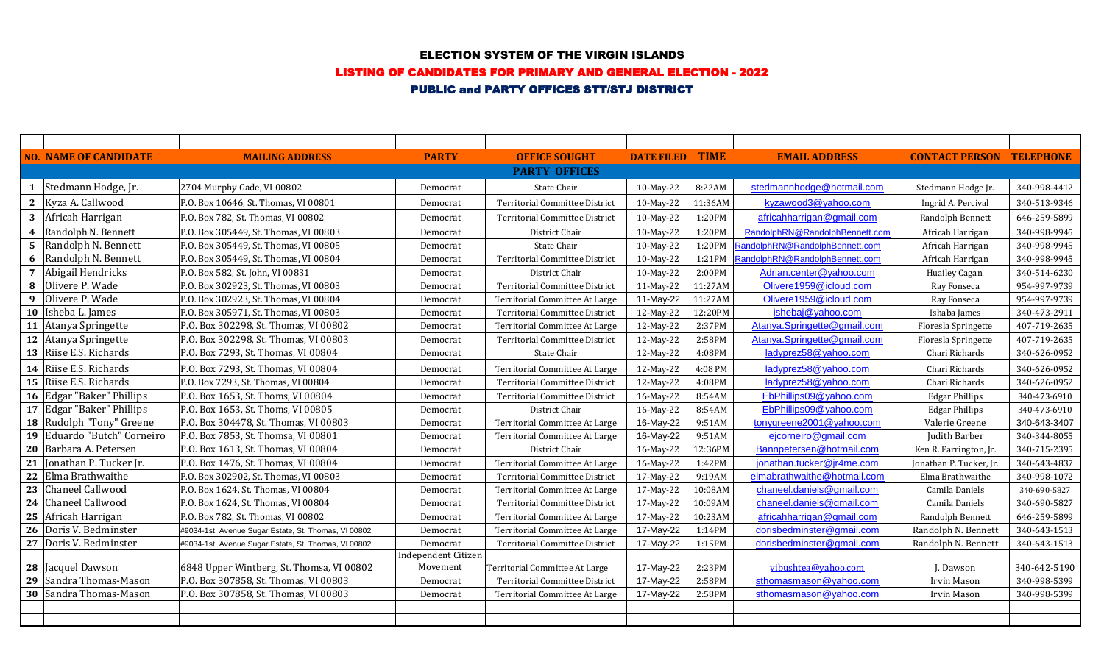#### ELECTION SYSTEM OF THE VIRGIN ISLANDS

#### LISTING OF CANDIDATES FOR PRIMARY AND GENERAL ELECTION - 2022

## PUBLIC and PARTY OFFICES STT/STJ DISTRICT

|                | <b>NO. NAME OF CANDIDATE</b> | <b>MAILING ADDRESS</b>                               | <b>PARTY</b>               | <b>OFFICE SOUGHT</b>                  | <b>DATE FILED TIME</b> |         | <b>EMAIL ADDRESS</b>           | <b>CONTACT PERSON TELEPHONE</b> |              |
|----------------|------------------------------|------------------------------------------------------|----------------------------|---------------------------------------|------------------------|---------|--------------------------------|---------------------------------|--------------|
|                |                              |                                                      |                            | <b>PARTY OFFICES</b>                  |                        |         |                                |                                 |              |
| 1              | Stedmann Hodge, Jr.          | 2704 Murphy Gade, VI 00802                           | Democrat                   | State Chair                           | 10-May-22              | 8:22AM  | stedmannhodge@hotmail.com      | Stedmann Hodge Jr.              | 340-998-4412 |
| 2              | Kyza A. Callwood             | P.O. Box 10646, St. Thomas, VI 00801                 | Democrat                   | Territorial Committee District        | 10-May-22              | 11:36AM | kyzawood3@yahoo.com            | Ingrid A. Percival              | 340-513-9346 |
| 3              | Africah Harrigan             | P.O. Box 782, St. Thomas, VI 00802                   | Democrat                   | <b>Territorial Committee District</b> | 10-May-22              | 1:20PM  | africahharrigan@gmail.com      | Randolph Bennett                | 646-259-5899 |
| $\overline{4}$ | Randolph N. Bennett          | P.O. Box 305449, St. Thomas, VI 00803                | Democrat                   | District Chair                        | 10-May-22              | 1:20PM  | RandolphRN@RandolphBennett.com | Africah Harrigan                | 340-998-9945 |
| 5              | Randolph N. Bennett          | P.O. Box 305449, St. Thomas, VI 00805                | Democrat                   | <b>State Chair</b>                    | 10-May-22              | 1:20PM  | RandolphRN@RandolphBennett.com | Africah Harrigan                | 340-998-9945 |
| 6              | Randolph N. Bennett          | P.O. Box 305449, St. Thomas, VI 00804                | Democrat                   | Territorial Committee District        | 10-May-22              | 1:21PM  | RandolphRN@RandolphBennett.com | Africah Harrigan                | 340-998-9945 |
| $\overline{7}$ | Abigail Hendricks            | P.O. Box 582, St. John, VI 00831                     | Democrat                   | District Chair                        | 10-May-22              | 2:00PM  | Adrian.center@yahoo.com        | Huailey Cagan                   | 340-514-6230 |
| 8              | Olivere P. Wade              | P.O. Box 302923, St. Thomas, VI 00803                | Democrat                   | <b>Territorial Committee District</b> | 11-May-22              | 11:27AM | Olivere1959@icloud.com         | Ray Fonseca                     | 954-997-9739 |
| -9             | Olivere P. Wade              | P.O. Box 302923, St. Thomas, VI 00804                | Democrat                   | Territorial Committee At Large        | 11-May-22              | 11:27AM | Olivere1959@icloud.com         | Ray Fonseca                     | 954-997-9739 |
| 10             | Isheba L. James              | P.O. Box 305971, St. Thomas, VI 00803                | Democrat                   | <b>Territorial Committee District</b> | 12-May-22              | 12:20PM | ishebaj@yahoo.com              | Ishaba James                    | 340-473-2911 |
|                | 11 Atanya Springette         | P.O. Box 302298, St. Thomas, VI 00802                | Democrat                   | Territorial Committee At Large        | 12-May-22              | 2:37PM  | Atanya.Springette@gmail.com    | Floresla Springette             | 407-719-2635 |
|                | 12 Atanya Springette         | P.O. Box 302298, St. Thomas, VI 00803                | Democrat                   | Territorial Committee District        | 12-May-22              | 2:58PM  | Atanya.Springette@gmail.com    | Floresla Springette             | 407-719-2635 |
|                | 13 Riise E.S. Richards       | P.O. Box 7293, St. Thomas, VI 00804                  | Democrat                   | State Chair                           | 12-May-22              | 4:08PM  | ladyprez58@yahoo.com           | Chari Richards                  | 340-626-0952 |
|                | 14 Riise E.S. Richards       | P.O. Box 7293, St. Thomas, VI 00804                  | Democrat                   | Territorial Committee At Large        | 12-May-22              | 4:08 PM | ladyprez58@yahoo.com           | Chari Richards                  | 340-626-0952 |
| 15             | Riise E.S. Richards          | P.O. Box 7293, St. Thomas, VI 00804                  | Democrat                   | <b>Territorial Committee District</b> | 12-May-22              | 4:08PM  | ladyprez58@yahoo.com           | Chari Richards                  | 340-626-0952 |
|                | 16 Edgar "Baker" Phillips    | P.O. Box 1653, St. Thoms, VI 00804                   | Democrat                   | Territorial Committee District        | 16-May-22              | 8:54AM  | EbPhillips09@yahoo.com         | <b>Edgar Phillips</b>           | 340-473-6910 |
|                | 17 Edgar "Baker" Phillips    | P.O. Box 1653, St. Thoms, VI 00805                   | Democrat                   | District Chair                        | 16-May-22              | 8:54AM  | EbPhillips09@yahoo.com         | <b>Edgar Phillips</b>           | 340-473-6910 |
|                | 18 Rudolph "Tony" Greene     | P.O. Box 304478, St. Thomas, VI 00803                | Democrat                   | Territorial Committee At Large        | 16-May-22              | 9:51AM  | tonygreene2001@yahoo.com       | Valerie Greene                  | 340-643-3407 |
| 19             | Eduardo "Butch" Corneiro     | P.O. Box 7853, St. Thomsa, VI 00801                  | Democrat                   | Territorial Committee At Large        | 16-May-22              | 9:51AM  | ejcorneiro@gmail.com           | Judith Barber                   | 340-344-8055 |
| 20             | Barbara A. Petersen          | P.O. Box 1613, St. Thomas, VI 00804                  | Democrat                   | District Chair                        | 16-May-22              | 12:36PM | Bannpetersen@hotmail.com       | Ken R. Farrington, Jr.          | 340-715-2395 |
| 21             | Jonathan P. Tucker Jr.       | P.O. Box 1476, St. Thomas, VI 00804                  | Democrat                   | Territorial Committee At Large        | 16-May-22              | 1:42PM  | jonathan.tucker@jr4me.com      | Jonathan P. Tucker, Jr.         | 340-643-4837 |
| 22             | Elma Brathwaithe             | P.O. Box 302902, St. Thomas, VI 00803                | Democrat                   | <b>Territorial Committee District</b> | 17-May-22              | 9:19AM  | elmabrathwaithe@hotmail.com    | Elma Brathwaithe                | 340-998-1072 |
| 23             | Chaneel Callwood             | P.O. Box 1624, St. Thomas, VI 00804                  | Democrat                   | Territorial Committee At Large        | 17-May-22              | 10:08AM | chaneel.daniels@gmail.com      | Camila Daniels                  | 340-690-5827 |
| 24             | Chaneel Callwood             | P.O. Box 1624, St. Thomas, VI 00804                  | Democrat                   | <b>Territorial Committee District</b> | 17-May-22              | 10:09AM | chaneel.daniels@gmail.com      | Camila Daniels                  | 340-690-5827 |
|                | 25 Africah Harrigan          | P.O. Box 782, St. Thomas, VI 00802                   | Democrat                   | Territorial Committee At Large        | 17-May-22              | 10:23AM | africahharrigan@gmail.com      | Randolph Bennett                | 646-259-5899 |
| 26             | Doris V. Bedminster          | #9034-1st. Avenue Sugar Estate, St. Thomas, VI 00802 | Democrat                   | Territorial Committee At Large        | 17-May-22              | 1:14PM  | dorisbedminster@gmail.com      | Randolph N. Bennett             | 340-643-1513 |
|                | 27 Doris V. Bedminster       | #9034-1st. Avenue Sugar Estate, St. Thomas, VI 00802 | Democrat                   | Territorial Committee District        | 17-May-22              | 1:15PM  | dorisbedminster@gmail.com      | Randolph N. Bennett             | 340-643-1513 |
|                |                              |                                                      | <b>Independent Citizen</b> |                                       |                        |         |                                |                                 |              |
|                | 28 Jacquel Dawson            | 6848 Upper Wintberg, St. Thomsa, VI 00802            | Movement                   | Territorial Committee At Large        | 17-May-22              | 2:23PM  | vibushtea@yahoo.com            | J. Dawson                       | 340-642-5190 |
| 29             | Sandra Thomas-Mason          | P.O. Box 307858, St. Thomas, VI 00803                | Democrat                   | <b>Territorial Committee District</b> | 17-May-22              | 2:58PM  | sthomasmason@yahoo.com         | <b>Irvin Mason</b>              | 340-998-5399 |
| 30             | Sandra Thomas-Mason          | P.O. Box 307858, St. Thomas, VI 00803                | Democrat                   | Territorial Committee At Large        | 17-May-22              | 2:58PM  | sthomasmason@yahoo.com         | <b>Irvin Mason</b>              | 340-998-5399 |
|                |                              |                                                      |                            |                                       |                        |         |                                |                                 |              |
|                |                              |                                                      |                            |                                       |                        |         |                                |                                 |              |